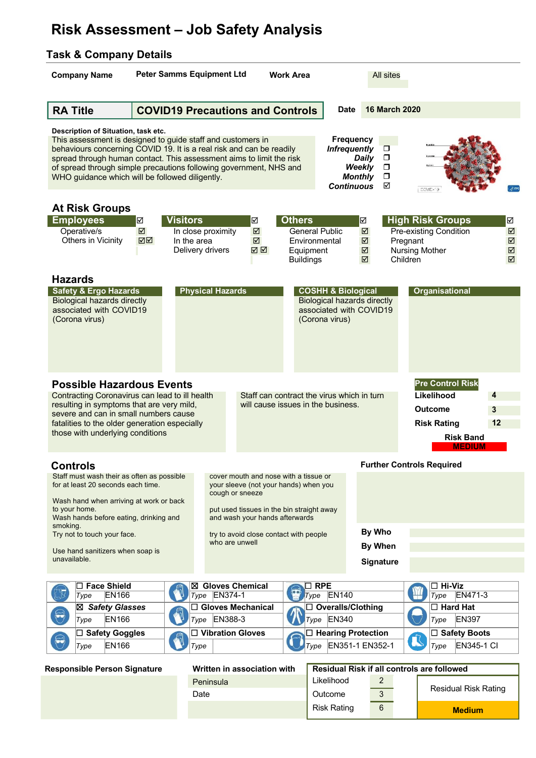## **Risk Assessment – Job Safety Analysis**

## **Task & Company Details Company Name Peter Samms Equipment Ltd Work Area Manual All sites 16 March 2020 RA Title COVID19 Precautions and Controls Date Description of Situation, task etc.** This assessment is designed to guide staff and customers in **Frequency** behaviours concerning COVID 19. It is a real risk and can be readily *Infrequently*  $\Box$ spread through human contact. This assessment aims to limit the risk *Daily*  $\Box$ *Weekly* □ of spread through simple precautions following government, NHS and WHO guidance which will be followed diligently. *Monthly*  $\Box$ *Continuous*  $\boxtimes$ COMD-19 **At Risk Groups Employees** ø Visitors ø **Ø Others** ø High Risk Groups ø  $\begin{array}{c|c|c|c|c} \hline \text{Operating/s} & \text{or} & \text{In close proximity} & \text{or} & \text{General Public} & \text{or} & \text{Pre-existing Condition} \\ \hline \text{Otherwise in Vicinity} & \text{or} & \text{or} & \text{In the area} & \text{or} & \text{in} & \text{in} \\ \hline \end{array}$ Others in Vicinity **korrar har visten visten visten visten visten** belivery drivers **vid Environmental korrar pregnant** visten visten visten visten visten visten visten visten visten visten visten visten visten visten vist Delivery drivers  $\boxtimes \boxtimes$  Equipment Buildings <u>⊠</u> Children <u>⊠</u> **Hazards Safety & Ergo Hazards Physical Hazards COSHH & Biological Organisational** Biological hazards directly Biological hazards directly associated with COVID19 associated with COVID19 (Corona virus) (Corona virus) **Possible Hazardous Events Pre Control Risk Likelihood**  Contracting Coronavirus can lead to ill health Staff can contract the virus which in turn **4** resulting in symptoms that are very mild, will cause issues in the business. **Outcome 3** severe and can in small numbers cause fatalities to the older generation especially **Risk Rating 12** those with underlying conditions **Risk Band MEDIUM Controls Further Controls Required** Staff must wash their as often as possible cover mouth and nose with a tissue or for at least 20 seconds each time. your sleeve (not your hands) when you cough or sneeze Wash hand when arriving at work or back to your home. put used tissues in the bin straight away Wash hands before eating, drinking and and wash your hands afterwards smoking. **By Who** Try not to touch your face. try to avoid close contact with people who are unwell **By When** Use hand sanitizers when soap is unavailable. **Signature**

|             | <b>Face Shield</b>           | ⊠<br><b>Gloves Chemical</b><br>ጠከ | <b>RPE</b>                        | $\Box$ Hi-Viz             |
|-------------|------------------------------|-----------------------------------|-----------------------------------|---------------------------|
|             | <b>EN166</b><br>Type         | <b>EN374-1</b><br>Type            | $\sqrt{2}$<br><b>EN140</b><br>vpe | EN471-3<br>Type           |
| $\bigoplus$ | <b>Safety Glasses</b><br>⊠   | <b>Gloves Mechanical</b><br>ጠ     | <b>Overalls/Clothing</b>          | <b>Hard Hat</b>           |
|             | <b>EN166</b><br>Type         | EN388-3<br>Type                   | EN340<br>Type                     | <b>EN397</b><br>Type      |
| $\bigodot$  | <b>Safety Goggles</b>        | <b>Vibration Gloves</b>           | <b>Hearing Protection</b>         | <b>Safety Boots</b>       |
|             | EN166<br>$\tau_{\text{ype}}$ | Type                              | EN351-1 EN352-1<br>'Type          | <b>EN345-1 CI</b><br>Type |

**Responsible Person Signature Written in association with Residual Risk if all controls are followed** Peninsula **Dividing Contract Contract Peninsula** Likelihood 2 Residual Risk Rating<br>Date **2008** Outcome **2008** Outcome **2008** Residual Risk Rating Risk Rating 6 **Medium**